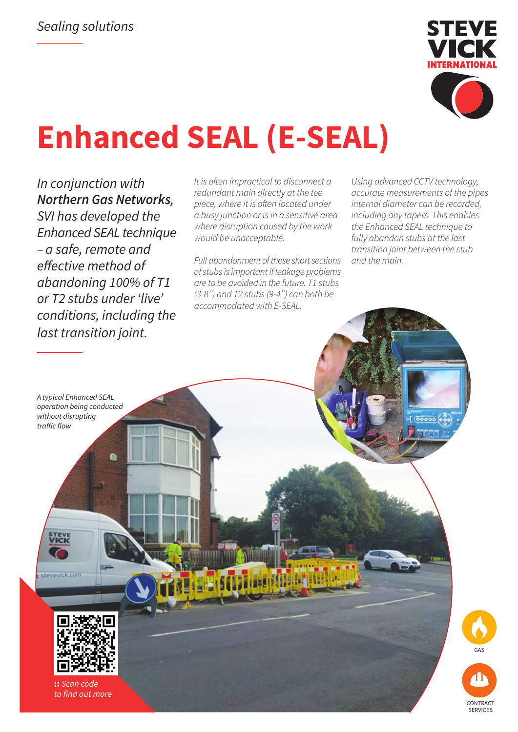

# **Enhanced SEAL (E-SEAL)**

*In conjunction with Northern Gas Networks, SVI has developed the Enhanced SEAL technique – a safe, remote and*  effective method of *abandoning 100% of T1 or T2 stubs under 'live' conditions, including the last transition joint.*

It is often impractical to disconnect a redundant main directly at the tee piece, where it is often located under a busy junction or is in a sensitive area where disruption caused by the work would be unacceptable.

Full abandonment of these short sections of stubs is important if leakage problems are to be avoided in the future. T1 stubs (3-8'') and T2 stubs (9-4'') can both be accommodated with E-SEAL.

Using advanced CCTV technology, accurate measurements of the pipes internal diameter can be recorded, including any tapers. This enables the Enhanced SEAL technique to fully abandon stubs at the last transition joint between the stub and the main.

*A typical Enhanced SEAL operation being conducted without disrupting*  traffic flow

**STEVI**<br>**VICK** 

Ä



**::** *Scan code* to find out more